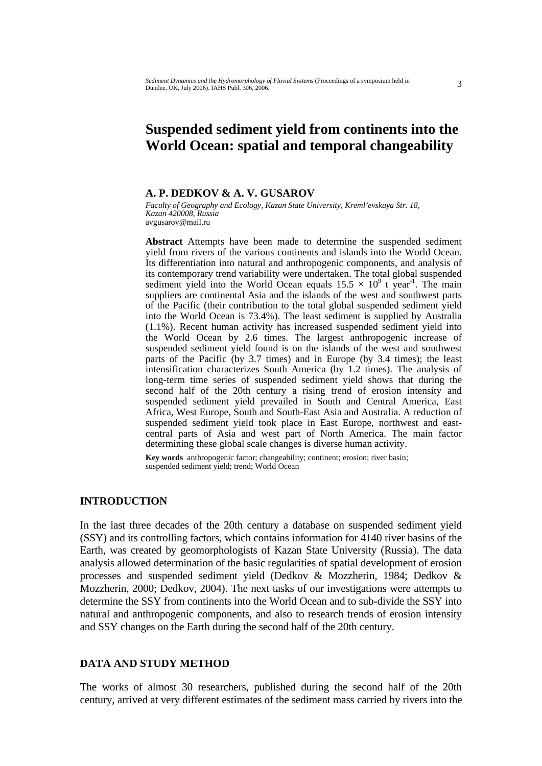# **Suspended sediment yield from continents into the World Ocean: spatial and temporal changeability**

## **A. P. DEDKOV & A. V. GUSAROV**

*Faculty of Geography and Ecology, Kazan State University, Kreml'evskaya Str. 18, Kazan 420008, Russia*  avgusarov@mail.ru

**Abstract** Attempts have been made to determine the suspended sediment yield from rivers of the various continents and islands into the World Ocean. Its differentiation into natural and anthropogenic components, and analysis of its contemporary trend variability were undertaken. The total global suspended sediment yield into the World Ocean equals  $15.5 \times 10^9$  t year<sup>-1</sup>. The main suppliers are continental Asia and the islands of the west and southwest parts of the Pacific (their contribution to the total global suspended sediment yield into the World Ocean is 73.4%). The least sediment is supplied by Australia (1.1%). Recent human activity has increased suspended sediment yield into the World Ocean by 2.6 times. The largest anthropogenic increase of suspended sediment yield found is on the islands of the west and southwest parts of the Pacific (by 3.7 times) and in Europe (by 3.4 times); the least intensification characterizes South America (by 1.2 times). The analysis of long-term time series of suspended sediment yield shows that during the second half of the 20th century a rising trend of erosion intensity and suspended sediment yield prevailed in South and Central America, East Africa, West Europe, South and South-East Asia and Australia. A reduction of suspended sediment yield took place in East Europe, northwest and eastcentral parts of Asia and west part of North America. The main factor determining these global scale changes is diverse human activity.

**Key words** anthropogenic factor; changeability; continent; erosion; river basin; suspended sediment yield; trend; World Ocean

#### **INTRODUCTION**

In the last three decades of the 20th century a database on suspended sediment yield (SSY) and its controlling factors, which contains information for 4140 river basins of the Earth, was created by geomorphologists of Kazan State University (Russia). The data analysis allowed determination of the basic regularities of spatial development of erosion processes and suspended sediment yield (Dedkov & Mozzherin, 1984; Dedkov & Mozzherin, 2000; Dedkov, 2004). The next tasks of our investigations were attempts to determine the SSY from continents into the World Ocean and to sub-divide the SSY into natural and anthropogenic components, and also to research trends of erosion intensity and SSY changes on the Earth during the second half of the 20th century.

#### **DATA AND STUDY METHOD**

The works of almost 30 researchers, published during the second half of the 20th century, arrived at very different estimates of the sediment mass carried by rivers into the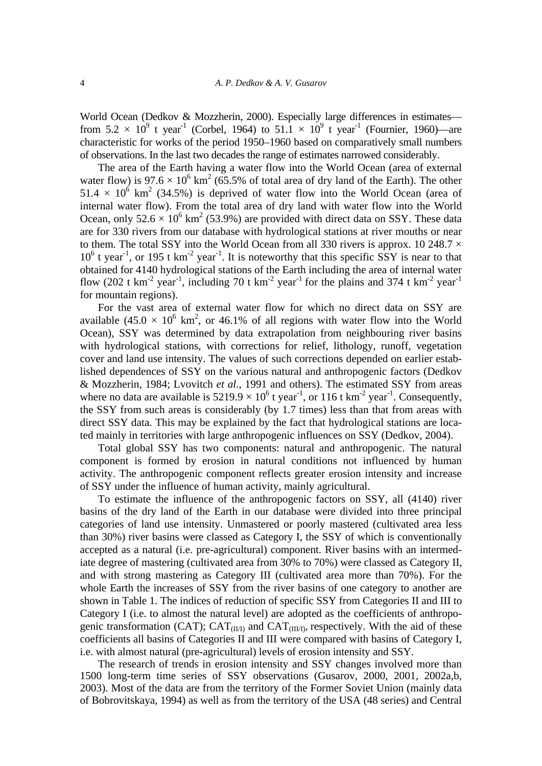World Ocean (Dedkov & Mozzherin, 2000). Especially large differences in estimates from 5.2  $\times$  10<sup>9</sup> t year<sup>-1</sup> (Corbel, 1964) to 51.1  $\times$  10<sup>9</sup> t year<sup>-1</sup> (Fournier, 1960)—are characteristic for works of the period 1950–1960 based on comparatively small numbers of observations. In the last two decades the range of estimates narrowed considerably.

 The area of the Earth having a water flow into the World Ocean (area of external water flow) is 97.6  $\times$  10<sup>6</sup> km<sup>2</sup> (65.5% of total area of dry land of the Earth). The other  $51.4 \times 10^6$  km<sup>2</sup> (34.5%) is deprived of water flow into the World Ocean (area of internal water flow). From the total area of dry land with water flow into the World Ocean, only  $52.6 \times 10^6$  km<sup>2</sup> (53.9%) are provided with direct data on SSY. These data are for 330 rivers from our database with hydrological stations at river mouths or near to them. The total SSY into the World Ocean from all 330 rivers is approx. 10 248.7  $\times$  $10^6$  t year<sup>-1</sup>, or 195 t km<sup>-2</sup> year<sup>-1</sup>. It is noteworthy that this specific SSY is near to that obtained for 4140 hydrological stations of the Earth including the area of internal water flow (202 t km<sup>-2</sup> year<sup>-1</sup>, including 70 t km<sup>-2</sup> year<sup>-1</sup> for the plains and 374 t km<sup>-2</sup> year<sup>-1</sup> for mountain regions).

 For the vast area of external water flow for which no direct data on SSY are available  $(45.0 \times 10^6 \text{ km}^2, \text{ or } 46.1\% \text{ of all regions with water flow into the World})$ Ocean), SSY was determined by data extrapolation from neighbouring river basins with hydrological stations, with corrections for relief, lithology, runoff, vegetation cover and land use intensity. The values of such corrections depended on earlier established dependences of SSY on the various natural and anthropogenic factors (Dedkov & Mozzherin, 1984; Lvovitch *et al.*, 1991 and others). The estimated SSY from areas where no data are available is  $5219.9 \times 10^6$  t year<sup>-1</sup>, or 116 t km<sup>-2</sup> year<sup>-1</sup>. Consequently, the SSY from such areas is considerably (by 1.7 times) less than that from areas with direct SSY data. This may be explained by the fact that hydrological stations are located mainly in territories with large anthropogenic influences on SSY (Dedkov, 2004).

 Total global SSY has two components: natural and anthropogenic. The natural component is formed by erosion in natural conditions not influenced by human activity. The anthropogenic component reflects greater erosion intensity and increase of SSY under the influence of human activity, mainly agricultural.

 To estimate the influence of the anthropogenic factors on SSY, all (4140) river basins of the dry land of the Earth in our database were divided into three principal categories of land use intensity. Unmastered or poorly mastered (cultivated area less than 30%) river basins were classed as Category I, the SSY of which is conventionally accepted as a natural (i.e. pre-agricultural) component. River basins with an intermediate degree of mastering (cultivated area from 30% to 70%) were classed as Category II, and with strong mastering as Category III (cultivated area more than 70%). For the whole Earth the increases of SSY from the river basins of one category to another are shown in Table 1. The indices of reduction of specific SSY from Categories II and III to Category I (i.e. to almost the natural level) are adopted as the coefficients of anthropogenic transformation (CAT);  $CAT_{(III)}$  and  $CAT_{(III)}$ , respectively. With the aid of these coefficients all basins of Categories II and III were compared with basins of Category I, i.e. with almost natural (pre-agricultural) levels of erosion intensity and SSY.

 The research of trends in erosion intensity and SSY changes involved more than 1500 long-term time series of SSY observations (Gusarov, 2000, 2001, 2002a,b, 2003). Most of the data are from the territory of the Former Soviet Union (mainly data of Bobrovitskaya, 1994) as well as from the territory of the USA (48 series) and Central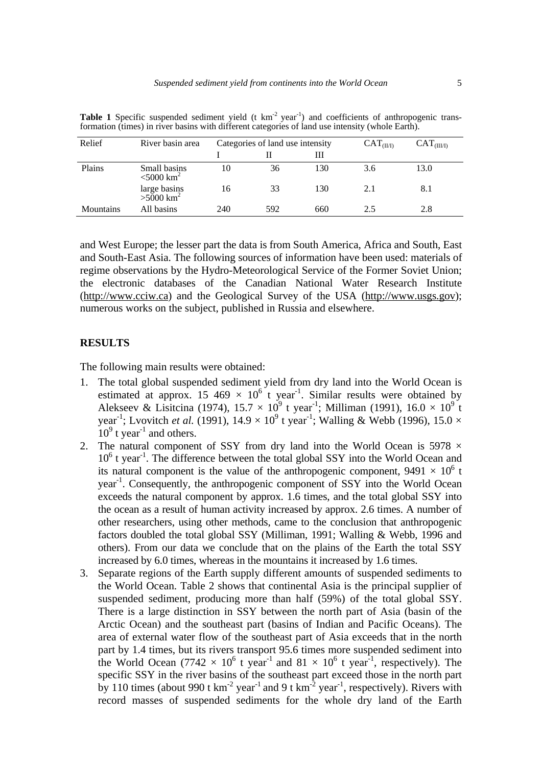| Relief    | River basin area                         | Categories of land use intensity |     |     | CAT <sub>(I</sub> | CAT <sub>(III/1)</sub> |
|-----------|------------------------------------------|----------------------------------|-----|-----|-------------------|------------------------|
|           |                                          |                                  |     | Ш   |                   |                        |
| Plains    | Small basins<br>$<$ 5000 km <sup>2</sup> | 10                               | 36  | 130 | 3.6               | 13.0                   |
|           | large basins<br>$>5000 \text{ km}^2$     | 16                               | 33  | 130 | 2.1               | 8.1                    |
| Mountains | All basins                               | 240                              | 592 | 660 | 2.5               | 2.8                    |

Table 1 Specific suspended sediment yield (t km<sup>-2</sup> year<sup>-1</sup>) and coefficients of anthropogenic transformation (times) in river basins with different categories of land use intensity (whole Earth).

and West Europe; the lesser part the data is from South America, Africa and South, East and South-East Asia. The following sources of information have been used: materials of regime observations by the Hydro-Meteorological Service of the Former Soviet Union; the electronic databases of the Canadian National Water Research Institute (http://www.cciw.ca) and the Geological Survey of the USA (http://www.usgs.gov); numerous works on the subject, published in Russia and elsewhere.

### **RESULTS**

The following main results were obtained:

- 1. The total global suspended sediment yield from dry land into the World Ocean is estimated at approx. 15 469  $\times$  10<sup>6</sup> t year<sup>-1</sup>. Similar results were obtained by Alekseev & Lisitcina (1974),  $15.7 \times 10^9$  t year<sup>-1</sup>; Milliman (1991),  $16.0 \times 10^9$  t year<sup>-1</sup>; Lvovitch *et al.* (1991),  $14.9 \times 10^9$  t year<sup>-1</sup>; Walling & Webb (1996),  $15.0 \times$  $10^9$  t year<sup>-1</sup> and others.
- 2. The natural component of SSY from dry land into the World Ocean is 5978  $\times$ 10<sup>6</sup> t year<sup>-1</sup>. The difference between the total global SSY into the World Ocean and its natural component is the value of the anthropogenic component,  $9491 \times 10^6$  t year-1. Consequently, the anthropogenic component of SSY into the World Ocean exceeds the natural component by approx. 1.6 times, and the total global SSY into the ocean as a result of human activity increased by approx. 2.6 times. A number of other researchers, using other methods, came to the conclusion that anthropogenic factors doubled the total global SSY (Milliman, 1991; Walling & Webb, 1996 and others). From our data we conclude that on the plains of the Earth the total SSY increased by 6.0 times, whereas in the mountains it increased by 1.6 times.
- 3. Separate regions of the Earth supply different amounts of suspended sediments to the World Ocean. Table 2 shows that continental Asia is the principal supplier of suspended sediment, producing more than half (59%) of the total global SSY. There is a large distinction in SSY between the north part of Asia (basin of the Arctic Ocean) and the southeast part (basins of Indian and Pacific Oceans). The area of external water flow of the southeast part of Asia exceeds that in the north part by 1.4 times, but its rivers transport 95.6 times more suspended sediment into the World Ocean (7742  $\times$  10<sup>6</sup> t year<sup>-1</sup> and 81  $\times$  10<sup>6</sup> t year<sup>-1</sup>, respectively). The specific SSY in the river basins of the southeast part exceed those in the north part by 110 times (about 990 t  $km^{-2}$  year<sup>-1</sup> and 9 t  $km^{-2}$  year<sup>-1</sup>, respectively). Rivers with record masses of suspended sediments for the whole dry land of the Earth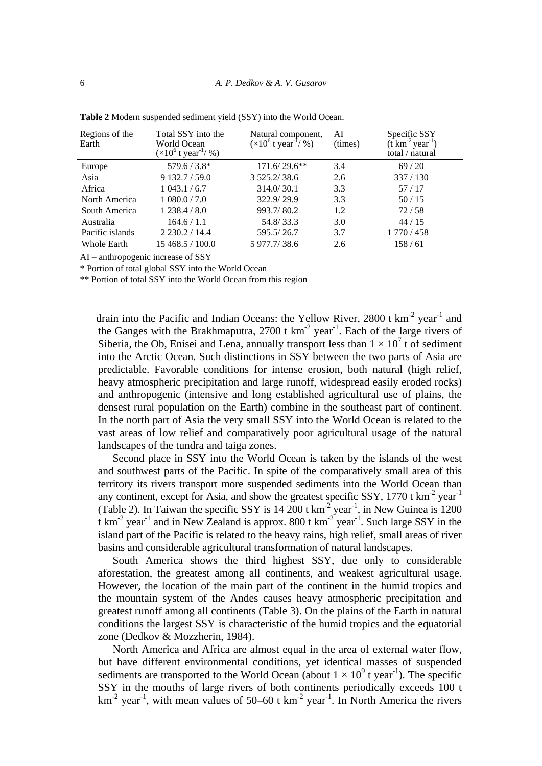| Regions of the<br>Earth | Total SSY into the<br>World Ocean<br>$(\times 10^6 \text{ t year}^{\frac{1}{9}})$ | Natural component,<br>$(\times 10^6 \text{ t year}^{\text{T}} / \%)$ | AI<br>(times) | Specific SSY<br>$(\text{t} \text{ km}^{-2} \text{ year}^{-1})$<br>total / natural |
|-------------------------|-----------------------------------------------------------------------------------|----------------------------------------------------------------------|---------------|-----------------------------------------------------------------------------------|
| Europe                  | $579.6 / 3.8*$                                                                    | $171.6/29.6**$                                                       | 3.4           | 69/20                                                                             |
| Asia                    | 9 132.7/59.0                                                                      | 3 5 25.2/38.6                                                        | 2.6           | 337/130                                                                           |
| Africa                  | 1043.1 / 6.7                                                                      | 314.0/30.1                                                           | 3.3           | 57/17                                                                             |
| North America           | 1080.0 / 7.0                                                                      | 322.9/29.9                                                           | 3.3           | 50/15                                                                             |
| South America           | 1238.4/8.0                                                                        | 993.7/80.2                                                           | 1.2           | 72/58                                                                             |
| Australia               | 164.6 / 1.1                                                                       | 54.8/33.3                                                            | 3.0           | 44/15                                                                             |
| Pacific islands         | 2230.2 / 14.4                                                                     | 595.5/26.7                                                           | 3.7           | 1 770 / 458                                                                       |
| <b>Whole Earth</b>      | 15 468.5 / 100.0                                                                  | 5 977.7/38.6                                                         | 2.6           | 158/61                                                                            |

**Table 2** Modern suspended sediment yield (SSY) into the World Ocean.

AI – anthropogenic increase of SSY

\* Portion of total global SSY into the World Ocean

\*\* Portion of total SSY into the World Ocean from this region

drain into the Pacific and Indian Oceans: the Yellow River, 2800 t  $km^{-2}$  year<sup>-1</sup> and the Ganges with the Brakhmaputra,  $2700$  t km<sup>-2</sup> year<sup>-1</sup>. Each of the large rivers of Siberia, the Ob, Enisei and Lena, annually transport less than  $1 \times 10^7$  t of sediment into the Arctic Ocean. Such distinctions in SSY between the two parts of Asia are predictable. Favorable conditions for intense erosion, both natural (high relief, heavy atmospheric precipitation and large runoff, widespread easily eroded rocks) and anthropogenic (intensive and long established agricultural use of plains, the densest rural population on the Earth) combine in the southeast part of continent. In the north part of Asia the very small SSY into the World Ocean is related to the vast areas of low relief and comparatively poor agricultural usage of the natural landscapes of the tundra and taiga zones.

 Second place in SSY into the World Ocean is taken by the islands of the west and southwest parts of the Pacific. In spite of the comparatively small area of this territory its rivers transport more suspended sediments into the World Ocean than any continent, except for Asia, and show the greatest specific SSY, 1770 t  $km<sup>-2</sup>$  year<sup>-1</sup> (Table 2). In Taiwan the specific SSY is  $14\,200$  t km<sup>-2</sup> year<sup>-1</sup>, in New Guinea is 1200 t km<sup>-2</sup> year<sup>-1</sup> and in New Zealand is approx. 800 t km<sup>-2</sup> year<sup>-1</sup>. Such large SSY in the island part of the Pacific is related to the heavy rains, high relief, small areas of river basins and considerable agricultural transformation of natural landscapes.

 South America shows the third highest SSY, due only to considerable aforestation, the greatest among all continents, and weakest agricultural usage. However, the location of the main part of the continent in the humid tropics and the mountain system of the Andes causes heavy atmospheric precipitation and greatest runoff among all continents (Table 3). On the plains of the Earth in natural conditions the largest SSY is characteristic of the humid tropics and the equatorial zone (Dedkov & Mozzherin, 1984).

 North America and Africa are almost equal in the area of external water flow, but have different environmental conditions, yet identical masses of suspended sediments are transported to the World Ocean (about  $1 \times 10^9$  t year<sup>-1</sup>). The specific SSY in the mouths of large rivers of both continents periodically exceeds 100 t  $km<sup>-2</sup> year<sup>-1</sup>$ , with mean values of 50–60 t km<sup>-2</sup> year<sup>-1</sup>. In North America the rivers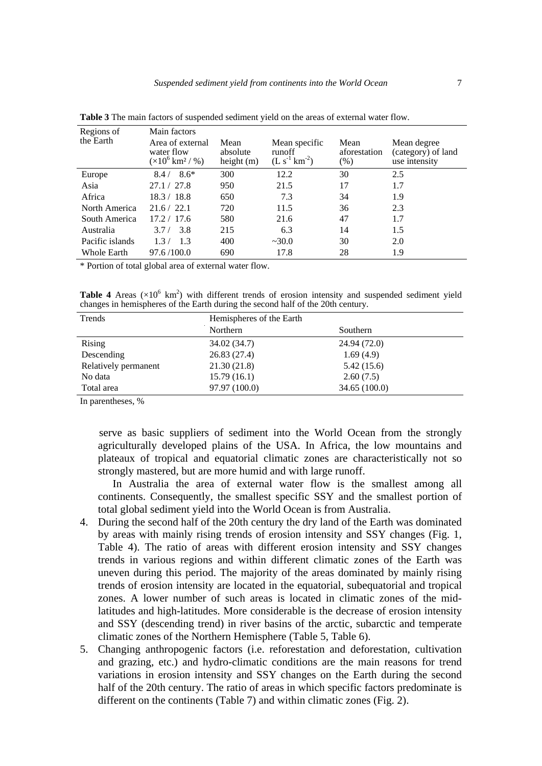| Regions of         | Main factors                                                           |                                  |                                                 |                                |                                                    |  |  |
|--------------------|------------------------------------------------------------------------|----------------------------------|-------------------------------------------------|--------------------------------|----------------------------------------------------|--|--|
| the Earth          | Area of external<br>water flow<br>$(\times 10^6 \,\mathrm{km^2} / \%)$ | Mean<br>absolute<br>height $(m)$ | Mean specific<br>runoff<br>$(L s^{-1} km^{-2})$ | Mean<br>aforestation<br>$(\%)$ | Mean degree<br>(category) of land<br>use intensity |  |  |
| Europe             | $8.6*$<br>8.4/                                                         | 300                              | 12.2                                            | 30                             | 2.5                                                |  |  |
| Asia               | 27.1 / 27.8                                                            | 950                              | 21.5                                            | 17                             | 1.7                                                |  |  |
| Africa             | 18.3 / 18.8                                                            | 650                              | 7.3                                             | 34                             | 1.9                                                |  |  |
| North America      | 21.6 / 22.1                                                            | 720                              | 11.5                                            | 36                             | 2.3                                                |  |  |
| South America      | 17.2 / 17.6                                                            | 580                              | 21.6                                            | 47                             | 1.7                                                |  |  |
| Australia          | 3.8<br>3.7/                                                            | 215                              | 6.3                                             | 14                             | 1.5                                                |  |  |
| Pacific islands    | 1.3<br>1.3/                                                            | 400                              | ~230.0                                          | 30                             | 2.0                                                |  |  |
| <b>Whole Earth</b> | 97.6/100.0                                                             | 690                              | 17.8                                            | 28                             | 1.9                                                |  |  |

**Table 3** The main factors of suspended sediment yield on the areas of external water flow.

\* Portion of total global area of external water flow.

**Table 4** Areas  $(\times 10^6 \text{ km}^2)$  with different trends of erosion intensity and suspended sediment yield changes in hemispheres of the Earth during the second half of the 20th century.

| Hemispheres of the Earth |              |  |  |
|--------------------------|--------------|--|--|
| Northern                 | Southern     |  |  |
| 34.02 (34.7)             | 24.94 (72.0) |  |  |
| 26.83(27.4)              | 1.69(4.9)    |  |  |
| 21.30(21.8)              | 5.42(15.6)   |  |  |
| 15.79(16.1)              | 2.60(7.5)    |  |  |
| 97.97 (100.0)            | 34.65(100.0) |  |  |
|                          |              |  |  |

In parentheses, %

 serve as basic suppliers of sediment into the World Ocean from the strongly agriculturally developed plains of the USA. In Africa, the low mountains and plateaux of tropical and equatorial climatic zones are characteristically not so strongly mastered, but are more humid and with large runoff.

 In Australia the area of external water flow is the smallest among all continents. Consequently, the smallest specific SSY and the smallest portion of total global sediment yield into the World Ocean is from Australia.

- 4. During the second half of the 20th century the dry land of the Earth was dominated by areas with mainly rising trends of erosion intensity and SSY changes (Fig. 1, Table 4). The ratio of areas with different erosion intensity and SSY changes trends in various regions and within different climatic zones of the Earth was uneven during this period. The majority of the areas dominated by mainly rising trends of erosion intensity are located in the equatorial, subequatorial and tropical zones. A lower number of such areas is located in climatic zones of the midlatitudes and high-latitudes. More considerable is the decrease of erosion intensity and SSY (descending trend) in river basins of the arctic, subarctic and temperate climatic zones of the Northern Hemisphere (Table 5, Table 6).
- 5. Changing anthropogenic factors (i.e. reforestation and deforestation, cultivation and grazing, etc.) and hydro-climatic conditions are the main reasons for trend variations in erosion intensity and SSY changes on the Earth during the second half of the 20th century. The ratio of areas in which specific factors predominate is different on the continents (Table 7) and within climatic zones (Fig. 2).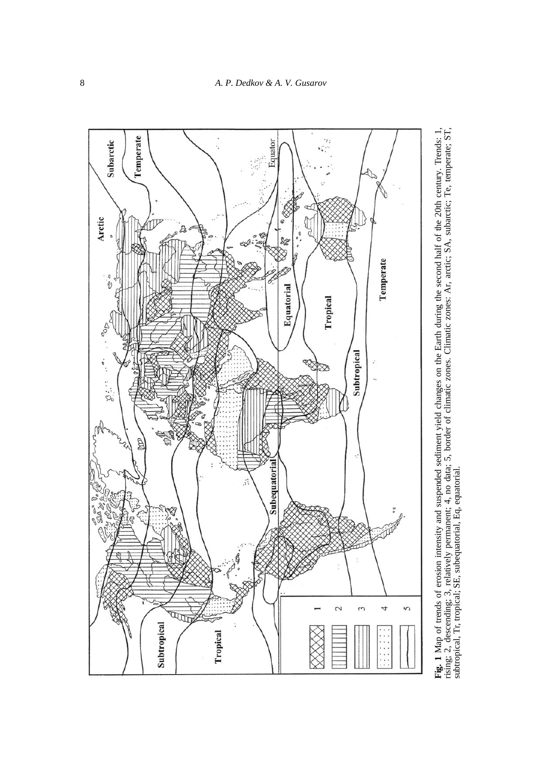

Fig. 1 Map of trends of erosion intensity and suspended sediment yield changes on the Earth during the second half of the 20th century. Trends: 1, rising; 2, descending; 3, relatively permanent; 4, no data; 5, border of cl **Fig. 1** Map of trends of erosion intensity and suspended sediment yield changes on the Earth during the second half of the 20th century. Trends: 1, rising; 2, descending; 3, relatively permanent; 4, no data; 5, border of climatic zones. Climatic zones: Ar, arctic; SA, subarctic; Te, temperate; ST, subtropical, Tr, tropical; SE, subequatorial, Eq, equatorial.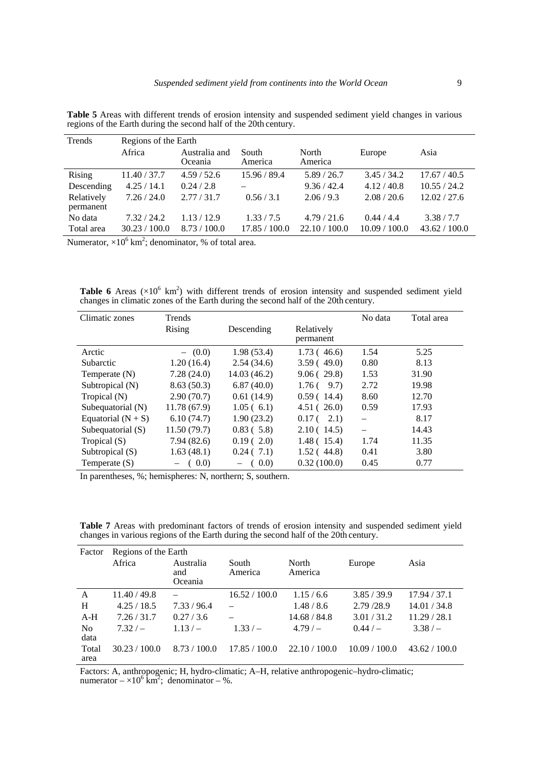| Trends        | Regions of the Earth |                          |                  |                  |               |               |  |
|---------------|----------------------|--------------------------|------------------|------------------|---------------|---------------|--|
|               | Africa               | Australia and<br>Oceania | South<br>America | North<br>America | Europe        | Asia          |  |
| <b>Rising</b> | 11.40 / 37.7         | 4.59/52.6                | 15.96 / 89.4     | 5.89/26.7        | 3.45/34.2     | 17.67 / 40.5  |  |
| Descending    | 4.25/14.1            | 0.24 / 2.8               |                  | 9.36 / 42.4      | 4.12 / 40.8   | 10.55 / 24.2  |  |
| Relatively    | 7.26 / 24.0          | 2.77/31.7                | 0.56 / 3.1       | 2.06/9.3         | 2.08 / 20.6   | 12.02 / 27.6  |  |
| permanent     |                      |                          |                  |                  |               |               |  |
| No data       | 7.32 / 24.2          | 1.13/12.9                | 1.33/7.5         | 4.79/21.6        | 0.44/4.4      | 3.38/7.7      |  |
| Total area    | 30.23 / 100.0        | 8.73 / 100.0             | 17.85 / 100.0    | 22.10 / 100.0    | 10.09 / 100.0 | 43.62 / 100.0 |  |
|               | $\sim$ $\sim$        |                          |                  |                  |               |               |  |

**Table 5** Areas with different trends of erosion intensity and suspended sediment yield changes in various regions of the Earth during the second half of the 20th century.

Numerator,  $\times 10^6$  km<sup>2</sup>; denominator, % of total area.

**Table 6** Areas  $(\times 10^6 \text{ km}^2)$  with different trends of erosion intensity and suspended sediment yield changes in climatic zones of the Earth during the second half of the 20th century.

| Climatic zones       | Trends      |              |                           | No data | Total area |
|----------------------|-------------|--------------|---------------------------|---------|------------|
|                      | Rising      | Descending   | Relatively                |         |            |
|                      |             |              | permanent                 |         |            |
| Arctic               | $-$ (0.0)   | 1.98(53.4)   | 1.73(46.6)                | 1.54    | 5.25       |
| Subarctic            | 1.20(16.4)  | 2.54(34.6)   | 3.59(49.0)                | 0.80    | 8.13       |
| Temperate $(N)$      | 7.28(24.0)  | 14.03 (46.2) | 9.06(29.8)                | 1.53    | 31.90      |
| Subtropical (N)      | 8.63(50.3)  | 6.87(40.0)   | 9.7)<br>1.76 <sub>0</sub> | 2.72    | 19.98      |
| Tropical (N)         | 2.90(70.7)  | 0.61(14.9)   | 0.59(14.4)                | 8.60    | 12.70      |
| Subequatorial (N)    | 11.78(67.9) | 1.05(6.1)    | 4.51(26.0)                | 0.59    | 17.93      |
| Equatorial $(N + S)$ | 6.10(74.7)  | 1.90(23.2)   | $0.17(-2.1)$              |         | 8.17       |
| Subequatorial (S)    | 11.50(79.7) | 0.83(5.8)    | 2.10(14.5)                |         | 14.43      |
| Tropical $(S)$       | 7.94(82.6)  | 0.19(2.0)    | 1.48(15.4)                | 1.74    | 11.35      |
| Subtropical (S)      | 1.63(48.1)  | 0.24(7.1)    | 1.52(44.8)                | 0.41    | 3.80       |
| Temperate $(S)$      | (0.0)       | (0.0)        | 0.32(100.0)               | 0.45    | 0.77       |

In parentheses, %; hemispheres: N, northern; S, southern.

**Table 7** Areas with predominant factors of trends of erosion intensity and suspended sediment yield changes in various regions of the Earth during the second half of the 20th century.

| Factor                 | Regions of the Earth |                             |                  |                  |               |               |  |
|------------------------|----------------------|-----------------------------|------------------|------------------|---------------|---------------|--|
|                        | Africa               | Australia<br>and<br>Oceania | South<br>America | North<br>America | Europe        | Asia          |  |
| A                      | 11.40 / 49.8         |                             | 16.52 / 100.0    | 1.15/6.6         | 3.85/39.9     | 17.94 / 37.1  |  |
| H                      | 4.25 / 18.5          | 7.33/96.4                   |                  | 1.48/8.6         | 2.79 /28.9    | 14.01 / 34.8  |  |
| $A-H$                  | 7.26 / 31.7          | 0.27/3.6                    |                  | 14.68 / 84.8     | 3.01 / 31.2   | 11.29 / 28.1  |  |
| N <sub>0</sub><br>data | $7.32/-$             | $1.13/-$                    | $1.33/-$         | $4.79/-$         | $0.44/-$      | $3.38/-$      |  |
| Total<br>area          | 30.23 / 100.0        | 8.73 / 100.0                | 17.85 / 100.0    | 22.10 / 100.0    | 10.09 / 100.0 | 43.62 / 100.0 |  |

Factors: A, anthropogenic; H, hydro-climatic; A–H, relative anthropogenic–hydro-climatic; numerator –  $\times 10^6$  km<sup>2</sup>; denominator – %.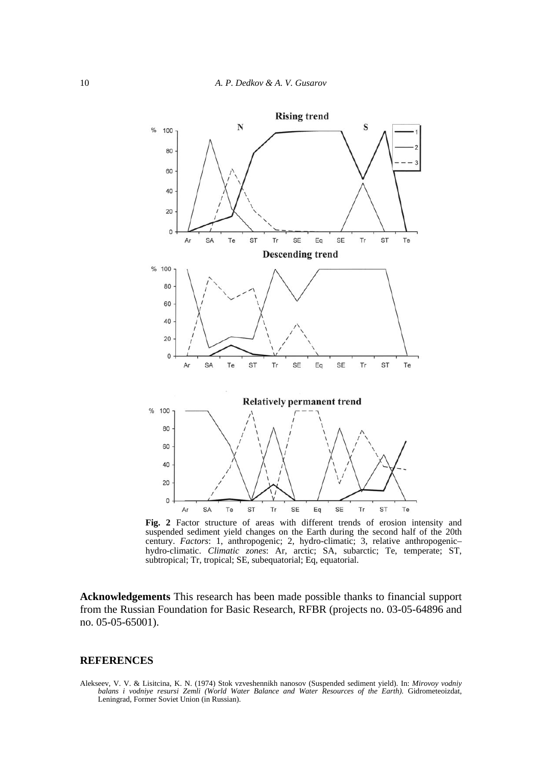

**Fig. 2** Factor structure of areas with different trends of erosion intensity and suspended sediment yield changes on the Earth during the second half of the 20th century. *Factors*: 1, anthropogenic; 2, hydro-climatic; 3, relative anthropogenic– hydro-climatic. *Climatic zones*: Ar, arctic; SA, subarctic; Te, temperate; ST, subtropical; Tr, tropical; SE, subequatorial; Eq, equatorial.

**Acknowledgements** This research has been made possible thanks to financial support from the Russian Foundation for Basic Research, RFBR (projects no. 03-05-64896 and no. 05-05-65001).

#### **REFERENCES**

Alekseev, V. V. & Lisitcina, K. N. (1974) Stok vzveshennikh nanosov (Suspended sediment yield). In: *Mirovoy vodniy balans i vodniye resursi Zemli (World Water Balance and Water Resources of the Earth).* Gidrometeoizdat, Leningrad, Former Soviet Union (in Russian).